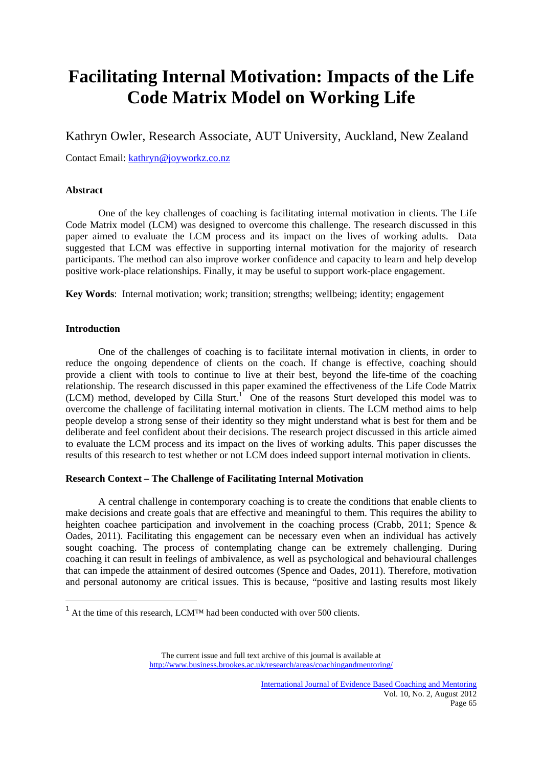# **Facilitating Internal Motivation: Impacts of the Life Code Matrix Model on Working Life**

Kathryn Owler, Research Associate, AUT University, Auckland, New Zealand

Contact Email: kathryn@joyworkz.co.nz

# **Abstract**

One of the key challenges of coaching is facilitating internal motivation in clients. The Life Code Matrix model (LCM) was designed to overcome this challenge. The research discussed in this paper aimed to evaluate the LCM process and its impact on the lives of working adults. Data suggested that LCM was effective in supporting internal motivation for the majority of research participants. The method can also improve worker confidence and capacity to learn and help develop positive work-place relationships. Finally, it may be useful to support work-place engagement.

**Key Words**: Internal motivation; work; transition; strengths; wellbeing; identity; engagement

# **Introduction**

One of the challenges of coaching is to facilitate internal motivation in clients, in order to reduce the ongoing dependence of clients on the coach. If change is effective, coaching should provide a client with tools to continue to live at their best, beyond the life-time of the coaching relationship. The research discussed in this paper examined the effectiveness of the Life Code Matrix (LCM) method, developed by Cilla Sturt.<sup>1</sup> One of the reasons Sturt developed this model was to overcome the challenge of facilitating internal motivation in clients. The LCM method aims to help people develop a strong sense of their identity so they might understand what is best for them and be deliberate and feel confident about their decisions. The research project discussed in this article aimed to evaluate the LCM process and its impact on the lives of working adults. This paper discusses the results of this research to test whether or not LCM does indeed support internal motivation in clients.

# **Research Context – The Challenge of Facilitating Internal Motivation**

A central challenge in contemporary coaching is to create the conditions that enable clients to make decisions and create goals that are effective and meaningful to them. This requires the ability to heighten coachee participation and involvement in the coaching process (Crabb, 2011; Spence & Oades, 2011). Facilitating this engagement can be necessary even when an individual has actively sought coaching. The process of contemplating change can be extremely challenging. During coaching it can result in feelings of ambivalence, as well as psychological and behavioural challenges that can impede the attainment of desired outcomes (Spence and Oades, 2011). Therefore, motivation and personal autonomy are critical issues. This is because, "positive and lasting results most likely

 $1$  At the time of this research, LCM<sup>™</sup> had been conducted with over 500 clients.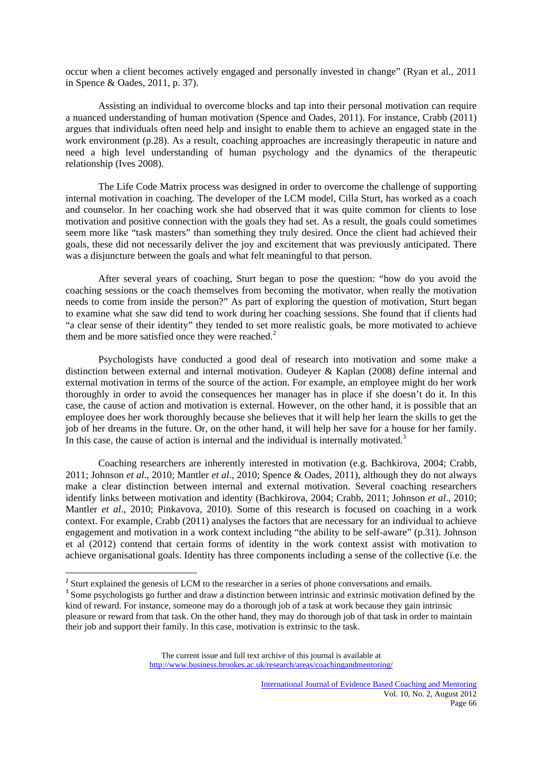occur when a client becomes actively engaged and personally invested in change" (Ryan et al., 2011 in Spence & Oades, 2011, p. 37).

Assisting an individual to overcome blocks and tap into their personal motivation can require a nuanced understanding of human motivation (Spence and Oades, 2011). For instance, Crabb (2011) argues that individuals often need help and insight to enable them to achieve an engaged state in the work environment (p.28). As a result, coaching approaches are increasingly therapeutic in nature and need a high level understanding of human psychology and the dynamics of the therapeutic relationship (Ives 2008).

The Life Code Matrix process was designed in order to overcome the challenge of supporting internal motivation in coaching. The developer of the LCM model, Cilla Sturt, has worked as a coach and counselor. In her coaching work she had observed that it was quite common for clients to lose motivation and positive connection with the goals they had set. As a result, the goals could sometimes seem more like "task masters" than something they truly desired. Once the client had achieved their goals, these did not necessarily deliver the joy and excitement that was previously anticipated. There was a disjuncture between the goals and what felt meaningful to that person.

After several years of coaching, Sturt began to pose the question: "how do you avoid the coaching sessions or the coach themselves from becoming the motivator, when really the motivation needs to come from inside the person?" As part of exploring the question of motivation, Sturt began to examine what she saw did tend to work during her coaching sessions. She found that if clients had "a clear sense of their identity" they tended to set more realistic goals, be more motivated to achieve them and be more satisfied once they were reached. $2$ 

Psychologists have conducted a good deal of research into motivation and some make a distinction between external and internal motivation. Oudeyer & Kaplan (2008) define internal and external motivation in terms of the source of the action. For example, an employee might do her work thoroughly in order to avoid the consequences her manager has in place if she doesn't do it. In this case, the cause of action and motivation is external. However, on the other hand, it is possible that an employee does her work thoroughly because she believes that it will help her learn the skills to get the job of her dreams in the future. Or, on the other hand, it will help her save for a house for her family. In this case, the cause of action is internal and the individual is internally motivated.<sup>3</sup>

Coaching researchers are inherently interested in motivation (e.g. Bachkirova, 2004; Crabb, 2011; Johnson *et al*., 2010; Mantler *et al.*, 2010; Spence & Oades, 2011), although they do not always make a clear distinction between internal and external motivation. Several coaching researchers identify links between motivation and identity (Bachkirova, 2004; Crabb, 2011; Johnson *et al*., 2010; Mantler *et al*., 2010; Pinkavova, 2010). Some of this research is focused on coaching in a work context. For example, Crabb (2011) analyses the factors that are necessary for an individual to achieve engagement and motivation in a work context including "the ability to be self-aware" (p.31). Johnson et al (2012) contend that certain forms of identity in the work context assist with motivation to achieve organisational goals. Identity has three components including a sense of the collective (i.e. the

<sup>&</sup>lt;sup>2</sup> Sturt explained the genesis of LCM to the researcher in a series of phone conversations and emails.

<sup>&</sup>lt;sup>3</sup> Some psychologists go further and draw a distinction between intrinsic and extrinsic motivation defined by the kind of reward. For instance, someone may do a thorough job of a task at work because they gain intrinsic pleasure or reward from that task. On the other hand, they may do thorough job of that task in order to maintain their job and support their family. In this case, motivation is extrinsic to the task.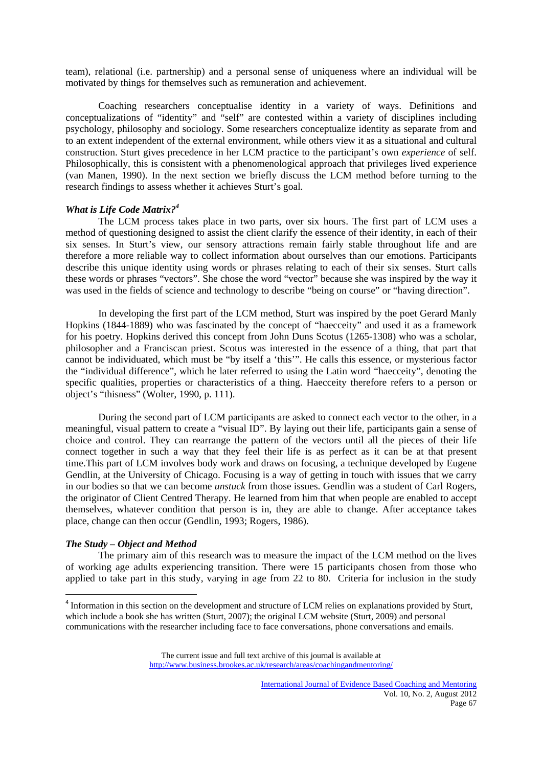team), relational (i.e. partnership) and a personal sense of uniqueness where an individual will be motivated by things for themselves such as remuneration and achievement.

Coaching researchers conceptualise identity in a variety of ways. Definitions and conceptualizations of "identity" and "self" are contested within a variety of disciplines including psychology, philosophy and sociology. Some researchers conceptualize identity as separate from and to an extent independent of the external environment, while others view it as a situational and cultural construction. Sturt gives precedence in her LCM practice to the participant's own *experience* of self. Philosophically, this is consistent with a phenomenological approach that privileges lived experience (van Manen, 1990). In the next section we briefly discuss the LCM method before turning to the research findings to assess whether it achieves Sturt's goal.

# *What is Life Code Matrix?4*

The LCM process takes place in two parts, over six hours. The first part of LCM uses a method of questioning designed to assist the client clarify the essence of their identity, in each of their six senses. In Sturt's view, our sensory attractions remain fairly stable throughout life and are therefore a more reliable way to collect information about ourselves than our emotions. Participants describe this unique identity using words or phrases relating to each of their six senses. Sturt calls these words or phrases "vectors". She chose the word "vector" because she was inspired by the way it was used in the fields of science and technology to describe "being on course" or "having direction".

In developing the first part of the LCM method, Sturt was inspired by the poet Gerard Manly Hopkins (1844-1889) who was fascinated by the concept of "haecceity" and used it as a framework for his poetry. Hopkins derived this concept from John Duns Scotus (1265-1308) who was a scholar, philosopher and a Franciscan priest. Scotus was interested in the essence of a thing, that part that cannot be individuated, which must be "by itself a 'this'". He calls this essence, or mysterious factor the "individual difference", which he later referred to using the Latin word "haecceity", denoting the specific qualities, properties or characteristics of a thing. Haecceity therefore refers to a person or object's "thisness" (Wolter, 1990, p. 111).

During the second part of LCM participants are asked to connect each vector to the other, in a meaningful, visual pattern to create a "visual ID". By laying out their life, participants gain a sense of choice and control. They can rearrange the pattern of the vectors until all the pieces of their life connect together in such a way that they feel their life is as perfect as it can be at that present time.This part of LCM involves body work and draws on focusing, a technique developed by Eugene Gendlin, at the University of Chicago. Focusing is a way of getting in touch with issues that we carry in our bodies so that we can become *unstuck* from those issues. Gendlin was a student of Carl Rogers, the originator of Client Centred Therapy. He learned from him that when people are enabled to accept themselves, whatever condition that person is in, they are able to change. After acceptance takes place, change can then occur (Gendlin, 1993; Rogers, 1986).

#### *The Study – Object and Method*

 The primary aim of this research was to measure the impact of the LCM method on the lives of working age adults experiencing transition. There were 15 participants chosen from those who applied to take part in this study, varying in age from 22 to 80. Criteria for inclusion in the study

<sup>&</sup>lt;sup>4</sup> Information in this section on the development and structure of LCM relies on explanations provided by Sturt, which include a book she has written (Sturt, 2007); the original LCM website (Sturt, 2009) and personal communications with the researcher including face to face conversations, phone conversations and emails.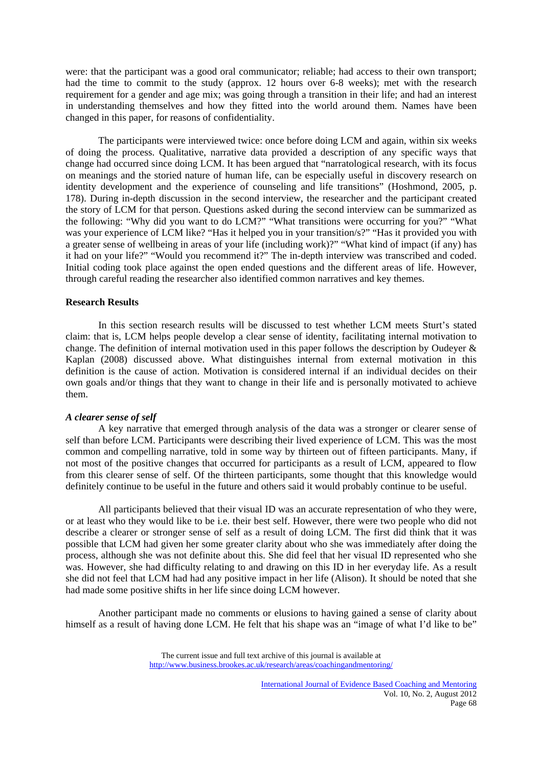were: that the participant was a good oral communicator; reliable; had access to their own transport; had the time to commit to the study (approx. 12 hours over 6-8 weeks); met with the research requirement for a gender and age mix; was going through a transition in their life; and had an interest in understanding themselves and how they fitted into the world around them. Names have been changed in this paper, for reasons of confidentiality.

The participants were interviewed twice: once before doing LCM and again, within six weeks of doing the process. Qualitative, narrative data provided a description of any specific ways that change had occurred since doing LCM. It has been argued that "narratological research, with its focus on meanings and the storied nature of human life, can be especially useful in discovery research on identity development and the experience of counseling and life transitions" (Hoshmond, 2005, p. 178). During in-depth discussion in the second interview, the researcher and the participant created the story of LCM for that person. Questions asked during the second interview can be summarized as the following: "Why did you want to do LCM?" "What transitions were occurring for you?" "What was your experience of LCM like? "Has it helped you in your transition/s?" "Has it provided you with a greater sense of wellbeing in areas of your life (including work)?" "What kind of impact (if any) has it had on your life?" "Would you recommend it?" The in-depth interview was transcribed and coded. Initial coding took place against the open ended questions and the different areas of life. However, through careful reading the researcher also identified common narratives and key themes.

#### **Research Results**

In this section research results will be discussed to test whether LCM meets Sturt's stated claim: that is, LCM helps people develop a clear sense of identity, facilitating internal motivation to change. The definition of internal motivation used in this paper follows the description by Oudeyer & Kaplan (2008) discussed above. What distinguishes internal from external motivation in this definition is the cause of action. Motivation is considered internal if an individual decides on their own goals and/or things that they want to change in their life and is personally motivated to achieve them.

# *A clearer sense of self*

A key narrative that emerged through analysis of the data was a stronger or clearer sense of self than before LCM. Participants were describing their lived experience of LCM. This was the most common and compelling narrative, told in some way by thirteen out of fifteen participants. Many, if not most of the positive changes that occurred for participants as a result of LCM, appeared to flow from this clearer sense of self. Of the thirteen participants, some thought that this knowledge would definitely continue to be useful in the future and others said it would probably continue to be useful.

All participants believed that their visual ID was an accurate representation of who they were, or at least who they would like to be i.e. their best self. However, there were two people who did not describe a clearer or stronger sense of self as a result of doing LCM. The first did think that it was possible that LCM had given her some greater clarity about who she was immediately after doing the process, although she was not definite about this. She did feel that her visual ID represented who she was. However, she had difficulty relating to and drawing on this ID in her everyday life. As a result she did not feel that LCM had had any positive impact in her life (Alison). It should be noted that she had made some positive shifts in her life since doing LCM however.

Another participant made no comments or elusions to having gained a sense of clarity about himself as a result of having done LCM. He felt that his shape was an "image of what I'd like to be"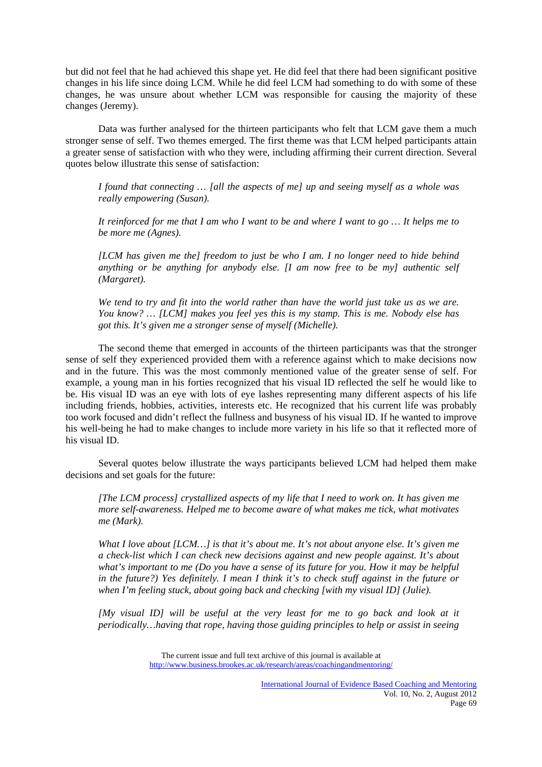but did not feel that he had achieved this shape yet. He did feel that there had been significant positive changes in his life since doing LCM. While he did feel LCM had something to do with some of these changes, he was unsure about whether LCM was responsible for causing the majority of these changes (Jeremy).

Data was further analysed for the thirteen participants who felt that LCM gave them a much stronger sense of self. Two themes emerged. The first theme was that LCM helped participants attain a greater sense of satisfaction with who they were, including affirming their current direction. Several quotes below illustrate this sense of satisfaction:

*I found that connecting … [all the aspects of me] up and seeing myself as a whole was really empowering (Susan).* 

*It reinforced for me that I am who I want to be and where I want to go … It helps me to be more me (Agnes).* 

*[LCM has given me the] freedom to just be who I am. I no longer need to hide behind anything or be anything for anybody else. [I am now free to be my] authentic self (Margaret).* 

*We tend to try and fit into the world rather than have the world just take us as we are. You know? … [LCM] makes you feel yes this is my stamp. This is me. Nobody else has got this. It's given me a stronger sense of myself (Michelle).* 

The second theme that emerged in accounts of the thirteen participants was that the stronger sense of self they experienced provided them with a reference against which to make decisions now and in the future. This was the most commonly mentioned value of the greater sense of self. For example, a young man in his forties recognized that his visual ID reflected the self he would like to be. His visual ID was an eye with lots of eye lashes representing many different aspects of his life including friends, hobbies, activities, interests etc. He recognized that his current life was probably too work focused and didn't reflect the fullness and busyness of his visual ID. If he wanted to improve his well-being he had to make changes to include more variety in his life so that it reflected more of his visual ID.

Several quotes below illustrate the ways participants believed LCM had helped them make decisions and set goals for the future:

*[The LCM process] crystallized aspects of my life that I need to work on. It has given me more self-awareness. Helped me to become aware of what makes me tick, what motivates me (Mark).* 

*What I love about [LCM…] is that it's about me. It's not about anyone else. It's given me a check-list which I can check new decisions against and new people against. It's about what's important to me (Do you have a sense of its future for you. How it may be helpful in the future?) Yes definitely. I mean I think it's to check stuff against in the future or when I'm feeling stuck, about going back and checking [with my visual ID] (Julie).* 

*[My visual ID] will be useful at the very least for me to go back and look at it periodically…having that rope, having those guiding principles to help or assist in seeing*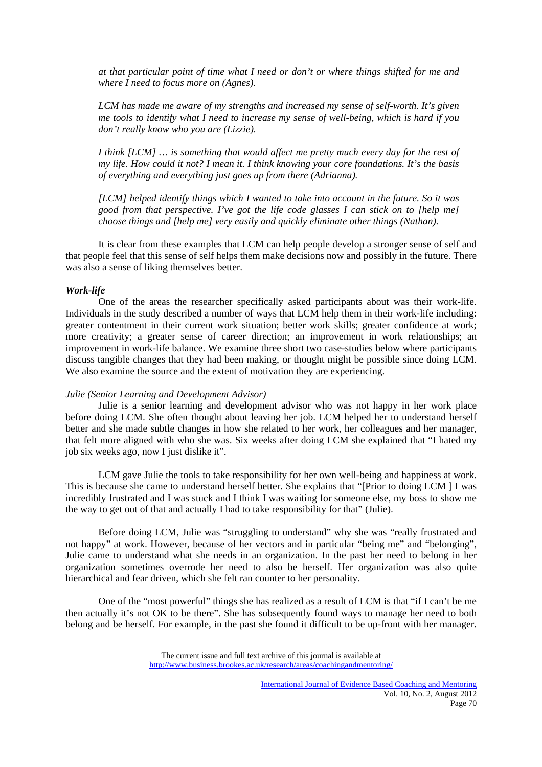*at that particular point of time what I need or don't or where things shifted for me and where I need to focus more on (Agnes).* 

*LCM has made me aware of my strengths and increased my sense of self-worth. It's given me tools to identify what I need to increase my sense of well-being, which is hard if you don't really know who you are (Lizzie).* 

*I think [LCM] … is something that would affect me pretty much every day for the rest of my life. How could it not? I mean it. I think knowing your core foundations. It's the basis of everything and everything just goes up from there (Adrianna).* 

*[LCM] helped identify things which I wanted to take into account in the future. So it was good from that perspective. I've got the life code glasses I can stick on to [help me] choose things and [help me] very easily and quickly eliminate other things (Nathan).* 

It is clear from these examples that LCM can help people develop a stronger sense of self and that people feel that this sense of self helps them make decisions now and possibly in the future. There was also a sense of liking themselves better.

#### *Work-life*

One of the areas the researcher specifically asked participants about was their work-life. Individuals in the study described a number of ways that LCM help them in their work-life including: greater contentment in their current work situation; better work skills; greater confidence at work; more creativity; a greater sense of career direction; an improvement in work relationships; an improvement in work-life balance. We examine three short two case-studies below where participants discuss tangible changes that they had been making, or thought might be possible since doing LCM. We also examine the source and the extent of motivation they are experiencing.

#### *Julie (Senior Learning and Development Advisor)*

Julie is a senior learning and development advisor who was not happy in her work place before doing LCM. She often thought about leaving her job. LCM helped her to understand herself better and she made subtle changes in how she related to her work, her colleagues and her manager, that felt more aligned with who she was. Six weeks after doing LCM she explained that "I hated my job six weeks ago, now I just dislike it".

LCM gave Julie the tools to take responsibility for her own well-being and happiness at work. This is because she came to understand herself better. She explains that "[Prior to doing LCM ] I was incredibly frustrated and I was stuck and I think I was waiting for someone else, my boss to show me the way to get out of that and actually I had to take responsibility for that" (Julie).

Before doing LCM, Julie was "struggling to understand" why she was "really frustrated and not happy" at work. However, because of her vectors and in particular "being me" and "belonging", Julie came to understand what she needs in an organization. In the past her need to belong in her organization sometimes overrode her need to also be herself. Her organization was also quite hierarchical and fear driven, which she felt ran counter to her personality.

One of the "most powerful" things she has realized as a result of LCM is that "if I can't be me then actually it's not OK to be there". She has subsequently found ways to manage her need to both belong and be herself. For example, in the past she found it difficult to be up-front with her manager.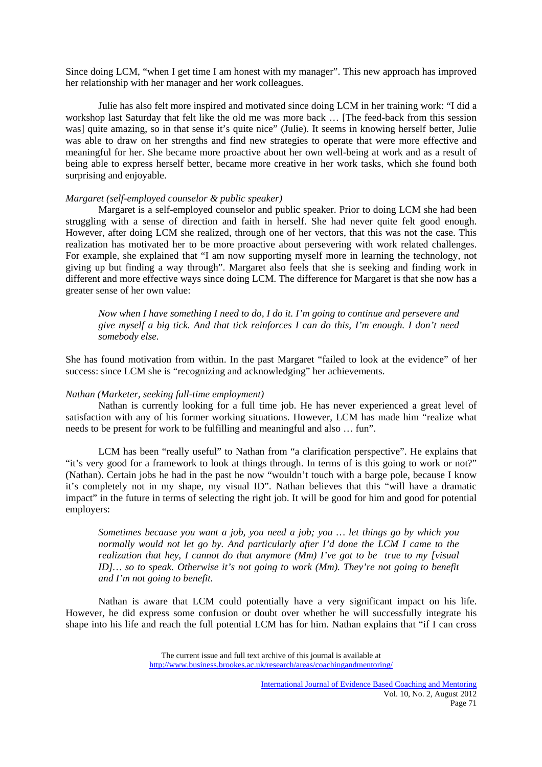Since doing LCM, "when I get time I am honest with my manager". This new approach has improved her relationship with her manager and her work colleagues.

Julie has also felt more inspired and motivated since doing LCM in her training work: "I did a workshop last Saturday that felt like the old me was more back … [The feed-back from this session was] quite amazing, so in that sense it's quite nice" (Julie). It seems in knowing herself better, Julie was able to draw on her strengths and find new strategies to operate that were more effective and meaningful for her. She became more proactive about her own well-being at work and as a result of being able to express herself better, became more creative in her work tasks, which she found both surprising and enjoyable.

#### *Margaret (self-employed counselor & public speaker)*

Margaret is a self-employed counselor and public speaker. Prior to doing LCM she had been struggling with a sense of direction and faith in herself. She had never quite felt good enough. However, after doing LCM she realized, through one of her vectors, that this was not the case. This realization has motivated her to be more proactive about persevering with work related challenges. For example, she explained that "I am now supporting myself more in learning the technology, not giving up but finding a way through". Margaret also feels that she is seeking and finding work in different and more effective ways since doing LCM. The difference for Margaret is that she now has a greater sense of her own value:

*Now when I have something I need to do, I do it. I'm going to continue and persevere and give myself a big tick. And that tick reinforces I can do this, I'm enough. I don't need somebody else.* 

She has found motivation from within. In the past Margaret "failed to look at the evidence" of her success: since LCM she is "recognizing and acknowledging" her achievements.

## *Nathan (Marketer, seeking full-time employment)*

Nathan is currently looking for a full time job. He has never experienced a great level of satisfaction with any of his former working situations. However, LCM has made him "realize what needs to be present for work to be fulfilling and meaningful and also … fun".

LCM has been "really useful" to Nathan from "a clarification perspective". He explains that "it's very good for a framework to look at things through. In terms of is this going to work or not?" (Nathan). Certain jobs he had in the past he now "wouldn't touch with a barge pole, because I know it's completely not in my shape, my visual ID". Nathan believes that this "will have a dramatic impact" in the future in terms of selecting the right job. It will be good for him and good for potential employers:

*Sometimes because you want a job, you need a job; you … let things go by which you normally would not let go by. And particularly after I'd done the LCM I came to the realization that hey, I cannot do that anymore (Mm) I've got to be true to my [visual ID]… so to speak. Otherwise it's not going to work (Mm). They're not going to benefit and I'm not going to benefit.* 

Nathan is aware that LCM could potentially have a very significant impact on his life. However, he did express some confusion or doubt over whether he will successfully integrate his shape into his life and reach the full potential LCM has for him. Nathan explains that "if I can cross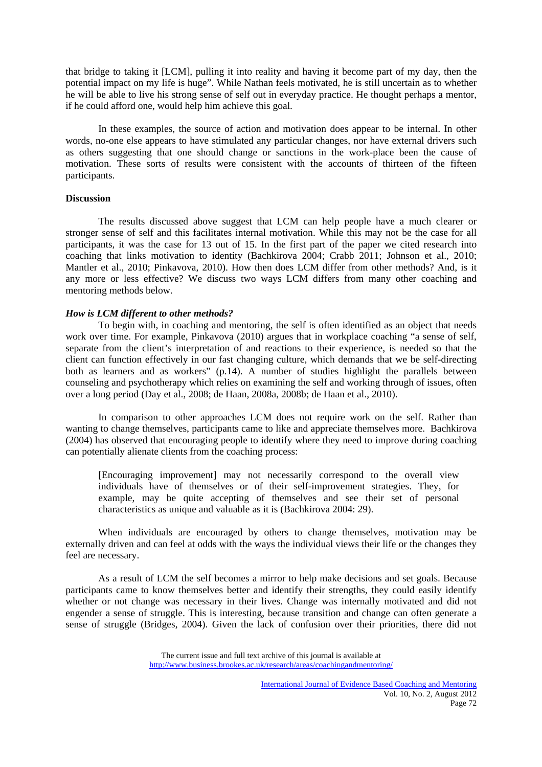that bridge to taking it [LCM], pulling it into reality and having it become part of my day, then the potential impact on my life is huge". While Nathan feels motivated, he is still uncertain as to whether he will be able to live his strong sense of self out in everyday practice. He thought perhaps a mentor, if he could afford one, would help him achieve this goal.

In these examples, the source of action and motivation does appear to be internal. In other words, no-one else appears to have stimulated any particular changes, nor have external drivers such as others suggesting that one should change or sanctions in the work-place been the cause of motivation. These sorts of results were consistent with the accounts of thirteen of the fifteen participants.

# **Discussion**

The results discussed above suggest that LCM can help people have a much clearer or stronger sense of self and this facilitates internal motivation. While this may not be the case for all participants, it was the case for 13 out of 15. In the first part of the paper we cited research into coaching that links motivation to identity (Bachkirova 2004; Crabb 2011; Johnson et al., 2010; Mantler et al., 2010; Pinkavova, 2010). How then does LCM differ from other methods? And, is it any more or less effective? We discuss two ways LCM differs from many other coaching and mentoring methods below.

### *How is LCM different to other methods?*

To begin with, in coaching and mentoring, the self is often identified as an object that needs work over time. For example, Pinkavova (2010) argues that in workplace coaching "a sense of self, separate from the client's interpretation of and reactions to their experience, is needed so that the client can function effectively in our fast changing culture, which demands that we be self-directing both as learners and as workers" (p.14). A number of studies highlight the parallels between counseling and psychotherapy which relies on examining the self and working through of issues, often over a long period (Day et al., 2008; de Haan, 2008a, 2008b; de Haan et al., 2010).

In comparison to other approaches LCM does not require work on the self. Rather than wanting to change themselves, participants came to like and appreciate themselves more. Bachkirova (2004) has observed that encouraging people to identify where they need to improve during coaching can potentially alienate clients from the coaching process:

[Encouraging improvement] may not necessarily correspond to the overall view individuals have of themselves or of their self-improvement strategies. They, for example, may be quite accepting of themselves and see their set of personal characteristics as unique and valuable as it is (Bachkirova 2004: 29).

When individuals are encouraged by others to change themselves, motivation may be externally driven and can feel at odds with the ways the individual views their life or the changes they feel are necessary.

As a result of LCM the self becomes a mirror to help make decisions and set goals. Because participants came to know themselves better and identify their strengths, they could easily identify whether or not change was necessary in their lives. Change was internally motivated and did not engender a sense of struggle. This is interesting, because transition and change can often generate a sense of struggle (Bridges, 2004). Given the lack of confusion over their priorities, there did not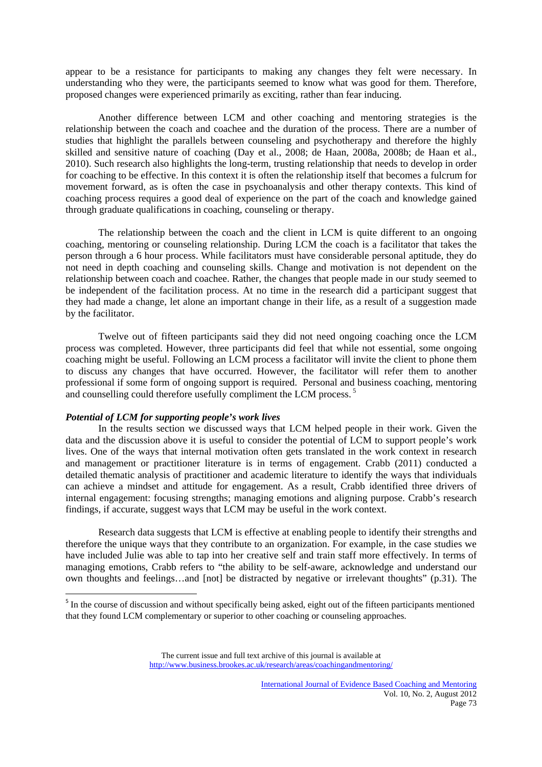appear to be a resistance for participants to making any changes they felt were necessary. In understanding who they were, the participants seemed to know what was good for them. Therefore, proposed changes were experienced primarily as exciting, rather than fear inducing.

Another difference between LCM and other coaching and mentoring strategies is the relationship between the coach and coachee and the duration of the process. There are a number of studies that highlight the parallels between counseling and psychotherapy and therefore the highly skilled and sensitive nature of coaching (Day et al., 2008; de Haan, 2008a, 2008b; de Haan et al., 2010). Such research also highlights the long-term, trusting relationship that needs to develop in order for coaching to be effective. In this context it is often the relationship itself that becomes a fulcrum for movement forward, as is often the case in psychoanalysis and other therapy contexts. This kind of coaching process requires a good deal of experience on the part of the coach and knowledge gained through graduate qualifications in coaching, counseling or therapy.

The relationship between the coach and the client in LCM is quite different to an ongoing coaching, mentoring or counseling relationship. During LCM the coach is a facilitator that takes the person through a 6 hour process. While facilitators must have considerable personal aptitude, they do not need in depth coaching and counseling skills. Change and motivation is not dependent on the relationship between coach and coachee. Rather, the changes that people made in our study seemed to be independent of the facilitation process. At no time in the research did a participant suggest that they had made a change, let alone an important change in their life, as a result of a suggestion made by the facilitator.

Twelve out of fifteen participants said they did not need ongoing coaching once the LCM process was completed. However, three participants did feel that while not essential, some ongoing coaching might be useful. Following an LCM process a facilitator will invite the client to phone them to discuss any changes that have occurred. However, the facilitator will refer them to another professional if some form of ongoing support is required. Personal and business coaching, mentoring and counselling could therefore usefully compliment the LCM process.<sup>5</sup>

## *Potential of LCM for supporting people's work lives*

In the results section we discussed ways that LCM helped people in their work. Given the data and the discussion above it is useful to consider the potential of LCM to support people's work lives. One of the ways that internal motivation often gets translated in the work context in research and management or practitioner literature is in terms of engagement. Crabb (2011) conducted a detailed thematic analysis of practitioner and academic literature to identify the ways that individuals can achieve a mindset and attitude for engagement. As a result, Crabb identified three drivers of internal engagement: focusing strengths; managing emotions and aligning purpose. Crabb's research findings, if accurate, suggest ways that LCM may be useful in the work context.

Research data suggests that LCM is effective at enabling people to identify their strengths and therefore the unique ways that they contribute to an organization. For example, in the case studies we have included Julie was able to tap into her creative self and train staff more effectively. In terms of managing emotions, Crabb refers to "the ability to be self-aware, acknowledge and understand our own thoughts and feelings…and [not] be distracted by negative or irrelevant thoughts" (p.31). The

 $<sup>5</sup>$  In the course of discussion and without specifically being asked, eight out of the fifteen participants mentioned</sup> that they found LCM complementary or superior to other coaching or counseling approaches.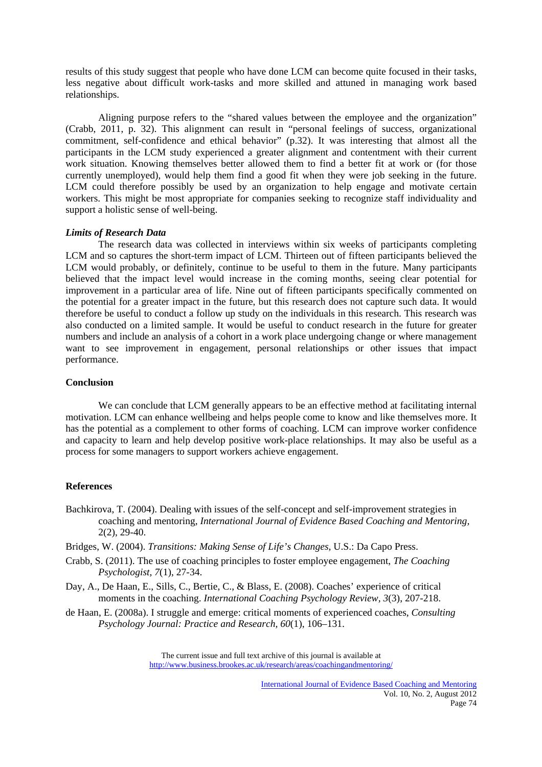results of this study suggest that people who have done LCM can become quite focused in their tasks, less negative about difficult work-tasks and more skilled and attuned in managing work based relationships.

Aligning purpose refers to the "shared values between the employee and the organization" (Crabb, 2011, p. 32). This alignment can result in "personal feelings of success, organizational commitment, self-confidence and ethical behavior" (p.32). It was interesting that almost all the participants in the LCM study experienced a greater alignment and contentment with their current work situation. Knowing themselves better allowed them to find a better fit at work or (for those currently unemployed), would help them find a good fit when they were job seeking in the future. LCM could therefore possibly be used by an organization to help engage and motivate certain workers. This might be most appropriate for companies seeking to recognize staff individuality and support a holistic sense of well-being.

#### *Limits of Research Data*

The research data was collected in interviews within six weeks of participants completing LCM and so captures the short-term impact of LCM. Thirteen out of fifteen participants believed the LCM would probably, or definitely, continue to be useful to them in the future. Many participants believed that the impact level would increase in the coming months, seeing clear potential for improvement in a particular area of life. Nine out of fifteen participants specifically commented on the potential for a greater impact in the future, but this research does not capture such data. It would therefore be useful to conduct a follow up study on the individuals in this research. This research was also conducted on a limited sample. It would be useful to conduct research in the future for greater numbers and include an analysis of a cohort in a work place undergoing change or where management want to see improvement in engagement, personal relationships or other issues that impact performance.

#### **Conclusion**

We can conclude that LCM generally appears to be an effective method at facilitating internal motivation. LCM can enhance wellbeing and helps people come to know and like themselves more. It has the potential as a complement to other forms of coaching. LCM can improve worker confidence and capacity to learn and help develop positive work-place relationships. It may also be useful as a process for some managers to support workers achieve engagement.

# **References**

- Bachkirova, T. (2004). Dealing with issues of the self-concept and self-improvement strategies in coaching and mentoring, *International Journal of Evidence Based Coaching and Mentoring,*  2(2), 29-40.
- Bridges, W. (2004). *Transitions: Making Sense of Life's Changes,* U.S.: Da Capo Press.
- Crabb, S. (2011). The use of coaching principles to foster employee engagement, *The Coaching Psychologist, 7*(1), 27-34.
- Day, A., De Haan, E., Sills, C., Bertie, C., & Blass, E. (2008). Coaches' experience of critical moments in the coaching. *International Coaching Psychology Review, 3*(3), 207-218.
- de Haan, E. (2008a). I struggle and emerge: critical moments of experienced coaches, *Consulting Psychology Journal: Practice and Research, 60*(1), 106–131.